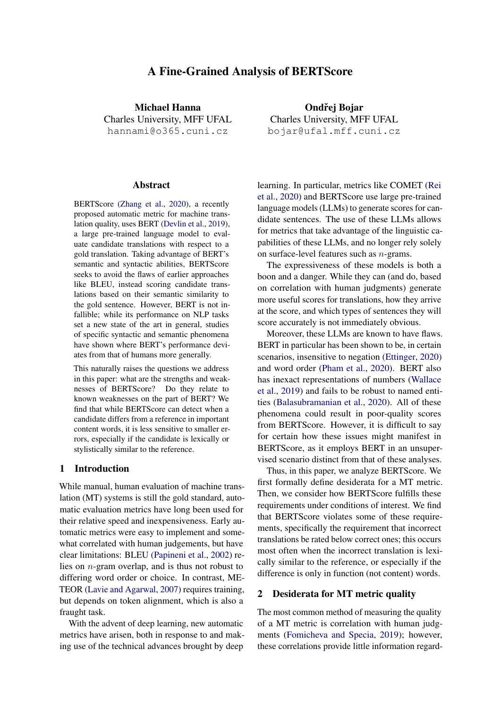# A Fine-Grained Analysis of BERTScore

<span id="page-0-0"></span>Michael Hanna Charles University, MFF UFAL hannami@o365.cuni.cz

#### **Abstract**

BERTScore [\(Zhang et al.,](#page-10-0) [2020\)](#page-10-0), a recently proposed automatic metric for machine translation quality, uses BERT [\(Devlin et al.,](#page-8-0) [2019\)](#page-8-0), a large pre-trained language model to evaluate candidate translations with respect to a gold translation. Taking advantage of BERT's semantic and syntactic abilities, BERTScore seeks to avoid the flaws of earlier approaches like BLEU, instead scoring candidate translations based on their semantic similarity to the gold sentence. However, BERT is not infallible; while its performance on NLP tasks set a new state of the art in general, studies of specific syntactic and semantic phenomena have shown where BERT's performance deviates from that of humans more generally.

This naturally raises the questions we address in this paper: what are the strengths and weaknesses of BERTScore? Do they relate to known weaknesses on the part of BERT? We find that while BERTScore can detect when a candidate differs from a reference in important content words, it is less sensitive to smaller errors, especially if the candidate is lexically or stylistically similar to the reference.

### 1 Introduction

While manual, human evaluation of machine translation (MT) systems is still the gold standard, automatic evaluation metrics have long been used for their relative speed and inexpensiveness. Early automatic metrics were easy to implement and somewhat correlated with human judgements, but have clear limitations: BLEU [\(Papineni et al.,](#page-9-0) [2002\)](#page-9-0) relies on n-gram overlap, and is thus not robust to differing word order or choice. In contrast, ME-TEOR [\(Lavie and Agarwal,](#page-9-1) [2007\)](#page-9-1) requires training, but depends on token alignment, which is also a fraught task.

With the advent of deep learning, new automatic metrics have arisen, both in response to and making use of the technical advances brought by deep

Ondřej Bojar Charles University, MFF UFAL bojar@ufal.mff.cuni.cz

learning. In particular, metrics like COMET [\(Rei](#page-9-2) [et al.,](#page-9-2) [2020\)](#page-9-2) and BERTScore use large pre-trained language models (LLMs) to generate scores for candidate sentences. The use of these LLMs allows for metrics that take advantage of the linguistic capabilities of these LLMs, and no longer rely solely on surface-level features such as n-grams.

The expressiveness of these models is both a boon and a danger. While they can (and do, based on correlation with human judgments) generate more useful scores for translations, how they arrive at the score, and which types of sentences they will score accurately is not immediately obvious.

Moreover, these LLMs are known to have flaws. BERT in particular has been shown to be, in certain scenarios, insensitive to negation [\(Ettinger,](#page-9-3) [2020\)](#page-9-3) and word order [\(Pham et al.,](#page-9-4) [2020\)](#page-9-4). BERT also has inexact representations of numbers [\(Wallace](#page-9-5) [et al.,](#page-9-5) [2019\)](#page-9-5) and fails to be robust to named entities [\(Balasubramanian et al.,](#page-8-1) [2020\)](#page-8-1). All of these phenomena could result in poor-quality scores from BERTScore. However, it is difficult to say for certain how these issues might manifest in BERTScore, as it employs BERT in an unsupervised scenario distinct from that of these analyses.

Thus, in this paper, we analyze BERTScore. We first formally define desiderata for a MT metric. Then, we consider how BERTScore fulfills these requirements under conditions of interest. We find that BERTScore violates some of these requirements, specifically the requirement that incorrect translations be rated below correct ones; this occurs most often when the incorrect translation is lexically similar to the reference, or especially if the difference is only in function (not content) words.

# <span id="page-0-1"></span>2 Desiderata for MT metric quality

The most common method of measuring the quality of a MT metric is correlation with human judgments [\(Fomicheva and Specia,](#page-9-6) [2019\)](#page-9-6); however, these correlations provide little information regard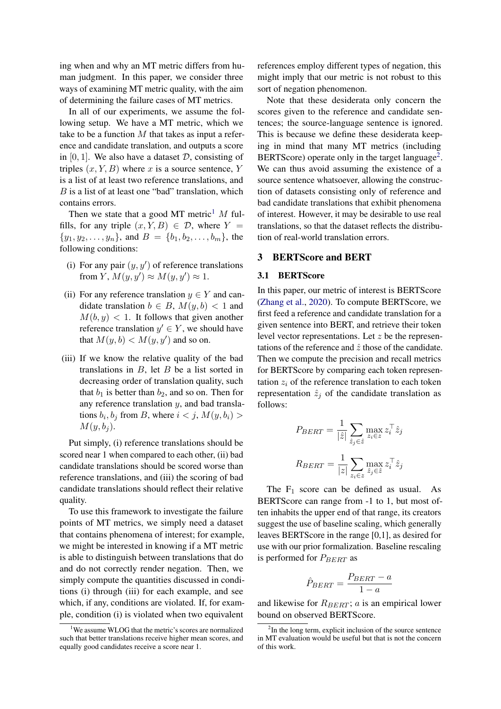ing when and why an MT metric differs from human judgment. In this paper, we consider three ways of examining MT metric quality, with the aim of determining the failure cases of MT metrics.

In all of our experiments, we assume the following setup. We have a MT metric, which we take to be a function  $M$  that takes as input a reference and candidate translation, and outputs a score in  $[0, 1]$ . We also have a dataset D, consisting of triples  $(x, Y, B)$  where x is a source sentence, Y is a list of at least two reference translations, and  $B$  is a list of at least one "bad" translation, which contains errors.

Then we state that a good MT metric<sup>[1](#page-0-0)</sup> M fulfills, for any triple  $(x, Y, B) \in \mathcal{D}$ , where  $Y =$  $\{y_1, y_2, \ldots, y_n\}$ , and  $B = \{b_1, b_2, \ldots, b_m\}$ , the following conditions:

- (i) For any pair  $(y, y')$  of reference translations from Y,  $M(y, y') \approx M(y, y') \approx 1$ .
- (ii) For any reference translation  $y \in Y$  and candidate translation  $b \in B$ ,  $M(y, b) < 1$  and  $M(b, y) < 1$ . It follows that given another reference translation  $y' \in Y$ , we should have that  $M(y, b) < M(y, y')$  and so on.
- (iii) If we know the relative quality of the bad translations in  $B$ , let  $B$  be a list sorted in decreasing order of translation quality, such that  $b_1$  is better than  $b_2$ , and so on. Then for any reference translation y, and bad translations  $b_i, b_j$  from B, where  $i < j$ ,  $M(y, b_i) >$  $M(y, b_i)$ .

Put simply, (i) reference translations should be scored near 1 when compared to each other, (ii) bad candidate translations should be scored worse than reference translations, and (iii) the scoring of bad candidate translations should reflect their relative quality.

To use this framework to investigate the failure points of MT metrics, we simply need a dataset that contains phenomena of interest; for example, we might be interested in knowing if a MT metric is able to distinguish between translations that do and do not correctly render negation. Then, we simply compute the quantities discussed in conditions (i) through (iii) for each example, and see which, if any, conditions are violated. If, for example, condition (i) is violated when two equivalent

references employ different types of negation, this might imply that our metric is not robust to this sort of negation phenomenon.

Note that these desiderata only concern the scores given to the reference and candidate sentences; the source-language sentence is ignored. This is because we define these desiderata keeping in mind that many MT metrics (including BERTScore) operate only in the target language<sup>[2](#page-0-0)</sup>. We can thus avoid assuming the existence of a source sentence whatsoever, allowing the construction of datasets consisting only of reference and bad candidate translations that exhibit phenomena of interest. However, it may be desirable to use real translations, so that the dataset reflects the distribution of real-world translation errors.

#### <span id="page-1-0"></span>3 BERTScore and BERT

# 3.1 BERTScore

In this paper, our metric of interest is BERTScore [\(Zhang et al.,](#page-10-0) [2020\)](#page-10-0). To compute BERTScore, we first feed a reference and candidate translation for a given sentence into BERT, and retrieve their token level vector representations. Let  $z$  be the representations of the reference and  $\hat{z}$  those of the candidate. Then we compute the precision and recall metrics for BERTScore by comparing each token representation  $z_i$  of the reference translation to each token representation  $\hat{z}_i$  of the candidate translation as follows:

$$
P_{BERT} = \frac{1}{|\hat{z}|} \sum_{\hat{z}_j \in \hat{z}} \max_{z_i \in z} z_i^\top \hat{z}_j
$$

$$
R_{BERT} = \frac{1}{|z|} \sum_{z_i \in z} \max_{\hat{z}_j \in \hat{z}} z_i^\top \hat{z}_j
$$

The  $F_1$  score can be defined as usual. As BERTScore can range from -1 to 1, but most often inhabits the upper end of that range, its creators suggest the use of baseline scaling, which generally leaves BERTScore in the range [0,1], as desired for use with our prior formalization. Baseline rescaling is performed for  $P_{BERT}$  as

$$
\hat{P}_{BERT} = \frac{P_{BERT} - a}{1 - a}
$$

and likewise for  $R_{BERT}$ ; *a* is an empirical lower bound on observed BERTScore.

<sup>&</sup>lt;sup>1</sup>We assume WLOG that the metric's scores are normalized such that better translations receive higher mean scores, and equally good candidates receive a score near 1.

<sup>&</sup>lt;sup>2</sup>In the long term, explicit inclusion of the source sentence in MT evaluation would be useful but that is not the concern of this work.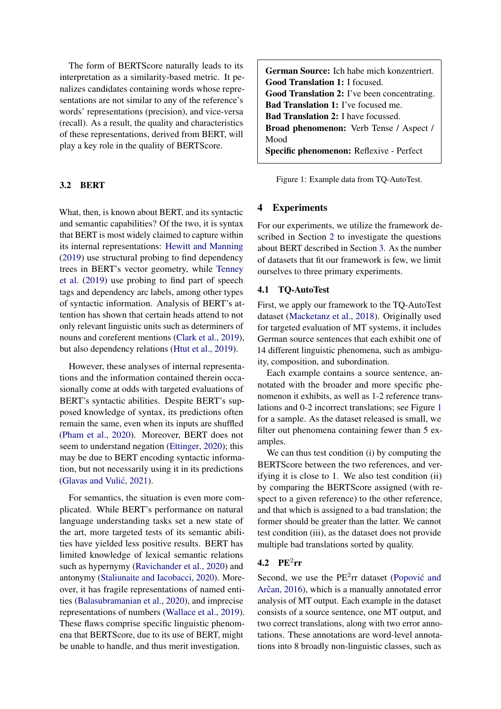The form of BERTScore naturally leads to its interpretation as a similarity-based metric. It penalizes candidates containing words whose representations are not similar to any of the reference's words' representations (precision), and vice-versa (recall). As a result, the quality and characteristics of these representations, derived from BERT, will play a key role in the quality of BERTScore.

## 3.2 BERT

What, then, is known about BERT, and its syntactic and semantic capabilities? Of the two, it is syntax that BERT is most widely claimed to capture within its internal representations: [Hewitt and Manning](#page-9-7) [\(2019\)](#page-9-7) use structural probing to find dependency trees in BERT's vector geometry, while [Tenney](#page-9-8) [et al.](#page-9-8) [\(2019\)](#page-9-8) use probing to find part of speech tags and dependency arc labels, among other types of syntactic information. Analysis of BERT's attention has shown that certain heads attend to not only relevant linguistic units such as determiners of nouns and coreferent mentions [\(Clark et al.,](#page-8-2) [2019\)](#page-8-2), but also dependency relations [\(Htut et al.,](#page-9-9) [2019\)](#page-9-9).

However, these analyses of internal representations and the information contained therein occasionally come at odds with targeted evaluations of BERT's syntactic abilities. Despite BERT's supposed knowledge of syntax, its predictions often remain the same, even when its inputs are shuffled [\(Pham et al.,](#page-9-4) [2020\)](#page-9-4). Moreover, BERT does not seem to understand negation [\(Ettinger,](#page-9-3) [2020\)](#page-9-3); this may be due to BERT encoding syntactic information, but not necessarily using it in its predictions (Glavas and Vulić, [2021\)](#page-9-10).

For semantics, the situation is even more complicated. While BERT's performance on natural language understanding tasks set a new state of the art, more targeted tests of its semantic abilities have yielded less positive results. BERT has limited knowledge of lexical semantic relations such as hypernymy [\(Ravichander et al.,](#page-9-11) [2020\)](#page-9-11) and antonymy [\(Staliunaite and Iacobacci,](#page-9-12) [2020\)](#page-9-12). Moreover, it has fragile representations of named entities [\(Balasubramanian et al.,](#page-8-1) [2020\)](#page-8-1), and imprecise representations of numbers [\(Wallace et al.,](#page-9-5) [2019\)](#page-9-5). These flaws comprise specific linguistic phenomena that BERTScore, due to its use of BERT, might be unable to handle, and thus merit investigation.

<span id="page-2-0"></span>German Source: Ich habe mich konzentriert. Good Translation 1: I focused. Good Translation 2: I've been concentrating. Bad Translation 1: I've focused me. Bad Translation 2: I have focussed. Broad phenomenon: Verb Tense / Aspect / Mood Specific phenomenon: Reflexive - Perfect

Figure 1: Example data from TQ-AutoTest.

### 4 Experiments

For our experiments, we utilize the framework described in Section [2](#page-0-1) to investigate the questions about BERT described in Section [3.](#page-1-0) As the number of datasets that fit our framework is few, we limit ourselves to three primary experiments.

#### <span id="page-2-1"></span>4.1 TQ-AutoTest

First, we apply our framework to the TQ-AutoTest dataset [\(Macketanz et al.,](#page-9-13) [2018\)](#page-9-13). Originally used for targeted evaluation of MT systems, it includes German source sentences that each exhibit one of 14 different linguistic phenomena, such as ambiguity, composition, and subordination.

Each example contains a source sentence, annotated with the broader and more specific phenomenon it exhibits, as well as 1-2 reference translations and 0-2 incorrect translations; see Figure [1](#page-2-0) for a sample. As the dataset released is small, we filter out phenomena containing fewer than 5 examples.

We can thus test condition (i) by computing the BERTScore between the two references, and verifying it is close to 1. We also test condition (ii) by comparing the BERTScore assigned (with respect to a given reference) to the other reference, and that which is assigned to a bad translation; the former should be greater than the latter. We cannot test condition (iii), as the dataset does not provide multiple bad translations sorted by quality.

# 4.2  $PE^2rr$

Second, we use the  $PE<sup>2</sup>rr$  dataset (Popović and Arčan, [2016\)](#page-9-14), which is a manually annotated error analysis of MT output. Each example in the dataset consists of a source sentence, one MT output, and two correct translations, along with two error annotations. These annotations are word-level annotations into 8 broadly non-linguistic classes, such as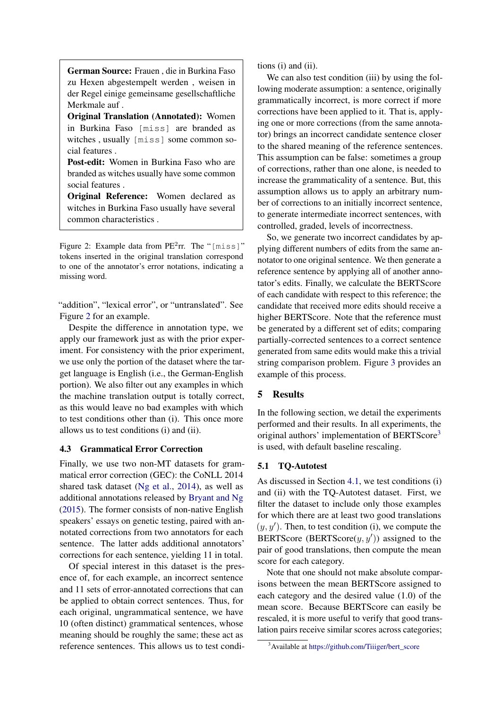<span id="page-3-0"></span>German Source: Frauen , die in Burkina Faso zu Hexen abgestempelt werden , weisen in der Regel einige gemeinsame gesellschaftliche Merkmale auf .

Original Translation (Annotated): Women in Burkina Faso [miss] are branded as witches , usually [miss] some common social features .

Post-edit: Women in Burkina Faso who are branded as witches usually have some common social features .

Original Reference: Women declared as witches in Burkina Faso usually have several common characteristics .

Figure 2: Example data from  $PE<sup>2</sup>rr$ . The "[miss]" tokens inserted in the original translation correspond to one of the annotator's error notations, indicating a missing word.

"addition", "lexical error", or "untranslated". See Figure [2](#page-3-0) for an example.

Despite the difference in annotation type, we apply our framework just as with the prior experiment. For consistency with the prior experiment, we use only the portion of the dataset where the target language is English (i.e., the German-English portion). We also filter out any examples in which the machine translation output is totally correct, as this would leave no bad examples with which to test conditions other than (i). This once more allows us to test conditions (i) and (ii).

### 4.3 Grammatical Error Correction

Finally, we use two non-MT datasets for grammatical error correction (GEC): the CoNLL 2014 shared task dataset [\(Ng et al.,](#page-9-15) [2014\)](#page-9-15), as well as additional annotations released by [Bryant and Ng](#page-8-3) [\(2015\)](#page-8-3). The former consists of non-native English speakers' essays on genetic testing, paired with annotated corrections from two annotators for each sentence. The latter adds additional annotators' corrections for each sentence, yielding 11 in total.

Of special interest in this dataset is the presence of, for each example, an incorrect sentence and 11 sets of error-annotated corrections that can be applied to obtain correct sentences. Thus, for each original, ungrammatical sentence, we have 10 (often distinct) grammatical sentences, whose meaning should be roughly the same; these act as reference sentences. This allows us to test conditions (i) and (ii).

We can also test condition (iii) by using the following moderate assumption: a sentence, originally grammatically incorrect, is more correct if more corrections have been applied to it. That is, applying one or more corrections (from the same annotator) brings an incorrect candidate sentence closer to the shared meaning of the reference sentences. This assumption can be false: sometimes a group of corrections, rather than one alone, is needed to increase the grammaticality of a sentence. But, this assumption allows us to apply an arbitrary number of corrections to an initially incorrect sentence, to generate intermediate incorrect sentences, with controlled, graded, levels of incorrectness.

So, we generate two incorrect candidates by applying different numbers of edits from the same annotator to one original sentence. We then generate a reference sentence by applying all of another annotator's edits. Finally, we calculate the BERTScore of each candidate with respect to this reference; the candidate that received more edits should receive a higher BERTScore. Note that the reference must be generated by a different set of edits; comparing partially-corrected sentences to a correct sentence generated from same edits would make this a trivial string comparison problem. Figure [3](#page-4-0) provides an example of this process.

### 5 Results

In the following section, we detail the experiments performed and their results. In all experiments, the original authors' implementation of BERTScore<sup>[3](#page-0-0)</sup> is used, with default baseline rescaling.

### 5.1 TQ-Autotest

As discussed in Section [4.1,](#page-2-1) we test conditions (i) and (ii) with the TQ-Autotest dataset. First, we filter the dataset to include only those examples for which there are at least two good translations  $(y, y')$ . Then, to test condition (i), we compute the BERTScore (BERTScore $(y, y')$ ) assigned to the pair of good translations, then compute the mean score for each category.

Note that one should not make absolute comparisons between the mean BERTScore assigned to each category and the desired value (1.0) of the mean score. Because BERTScore can easily be rescaled, it is more useful to verify that good translation pairs receive similar scores across categories;

<sup>3</sup>Available at [https://github.com/Tiiiger/bert\\_score](#page-0-0)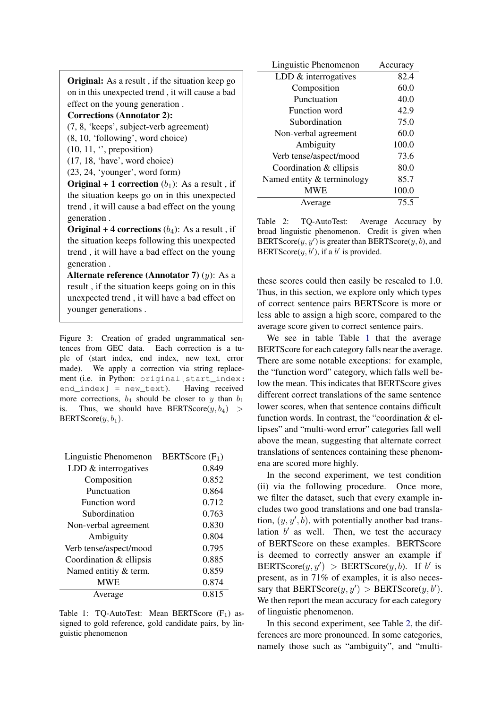<span id="page-4-0"></span>

| <b>Original:</b> As a result, if the situation keep go<br>on in this unexpected trend, it will cause a bad |  |  |  |
|------------------------------------------------------------------------------------------------------------|--|--|--|
| effect on the young generation.                                                                            |  |  |  |
| <b>Corrections (Annotator 2):</b>                                                                          |  |  |  |
| (7, 8, 'keeps', subject-verb agreement)                                                                    |  |  |  |
| (8, 10, 'following', word choice)                                                                          |  |  |  |
| $(10, 11, \, \degree)$ , preposition)                                                                      |  |  |  |
| (17, 18, 'have', word choice)                                                                              |  |  |  |
| (23, 24, 'younger', word form)                                                                             |  |  |  |
| <b>Original + 1 correction</b> $(b_1)$ : As a result, if                                                   |  |  |  |
| the situation keeps go on in this unexpected                                                               |  |  |  |
| trend, it will cause a bad effect on the young                                                             |  |  |  |
| generation.                                                                                                |  |  |  |

**Original + 4 corrections**  $(b_4)$ : As a result, if the situation keeps following this unexpected trend , it will have a bad effect on the young generation .

Alternate reference (Annotator 7)  $(y)$ : As a result , if the situation keeps going on in this unexpected trend , it will have a bad effect on younger generations .

Figure 3: Creation of graded ungrammatical sentences from GEC data. Each correction is a tuple of (start index, end index, new text, error made). We apply a correction via string replacement (i.e. in Python: original[start\_index: end\_index] = new\_text). Having received more corrections,  $b_4$  should be closer to y than  $b_1$ is. Thus, we should have BERTScore $(y, b_4)$ BERTScore $(y, b_1)$ .

<span id="page-4-1"></span>

| Linguistic Phenomenon   | BERTScore $(F_1)$ |
|-------------------------|-------------------|
| LDD $&$ interrogatives  | 0.849             |
| Composition             | 0.852             |
| Punctuation             | 0.864             |
| Function word           | 0.712             |
| Subordination           | 0.763             |
| Non-verbal agreement    | 0.830             |
| Ambiguity               | 0.804             |
| Verb tense/aspect/mood  | 0.795             |
| Coordination & ellipsis | 0.885             |
| Named entitiy & term.   | 0.859             |
| <b>MWE</b>              | 0.874             |
| Average                 | 0.815             |

Table 1: TQ-AutoTest: Mean BERTScore  $(F_1)$  assigned to gold reference, gold candidate pairs, by linguistic phenomenon

<span id="page-4-2"></span>

| Linguistic Phenomenon      | Accuracy |
|----------------------------|----------|
| LDD & interrogatives       | 82.4     |
| Composition                | 60.0     |
| Punctuation                | 40.0     |
| Function word              | 42.9     |
| Subordination              | 75.0     |
| Non-verbal agreement       | 60.0     |
| Ambiguity                  | 100.0    |
| Verb tense/aspect/mood     | 73.6     |
| Coordination & ellipsis    | 80.0     |
| Named entity & terminology | 85.7     |
| <b>MWE</b>                 | 100.0    |
| Average                    | 75.5     |

Table 2: TQ-AutoTest: Average Accuracy by broad linguistic phenomenon. Credit is given when BERTScore $(y, y')$  is greater than BERTScore $(y, b)$ , and BERTScore $(y, b')$ , if a b' is provided.

these scores could then easily be rescaled to 1.0. Thus, in this section, we explore only which types of correct sentence pairs BERTScore is more or less able to assign a high score, compared to the average score given to correct sentence pairs.

We see in table Table [1](#page-4-1) that the average BERTScore for each category falls near the average. There are some notable exceptions: for example, the "function word" category, which falls well below the mean. This indicates that BERTScore gives different correct translations of the same sentence lower scores, when that sentence contains difficult function words. In contrast, the "coordination & ellipses" and "multi-word error" categories fall well above the mean, suggesting that alternate correct translations of sentences containing these phenomena are scored more highly.

In the second experiment, we test condition (ii) via the following procedure. Once more, we filter the dataset, such that every example includes two good translations and one bad translation,  $(y, y', b)$ , with potentially another bad translation  $b'$  as well. Then, we test the accuracy of BERTScore on these examples. BERTScore is deemed to correctly answer an example if BERTScore $(y, y') >$  BERTScore $(y, b)$ . If b' is present, as in 71% of examples, it is also necessary that BERTScore $(y, y') >$  BERTScore $(y, b')$ . We then report the mean accuracy for each category of linguistic phenomenon.

In this second experiment, see Table [2,](#page-4-2) the differences are more pronounced. In some categories, namely those such as "ambiguity", and "multi-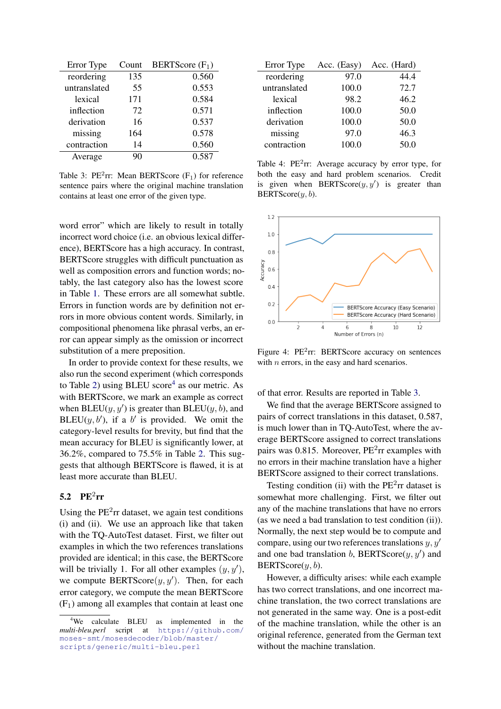<span id="page-5-0"></span>

| Error Type   | Count | BERTScore $(F_1)$ |
|--------------|-------|-------------------|
| reordering   | 135   | 0.560             |
| untranslated | 55    | 0.553             |
| lexical      | 171   | 0.584             |
| inflection   | 72    | 0.571             |
| derivation   | 16    | 0.537             |
| missing      | 164   | 0.578             |
| contraction  | 14    | 0.560             |
| Average      |       | 0.587             |

Table 3:  $PE<sup>2</sup>rr$ : Mean BERTScore (F<sub>1</sub>) for reference sentence pairs where the original machine translation contains at least one error of the given type.

word error" which are likely to result in totally incorrect word choice (i.e. an obvious lexical difference), BERTScore has a high accuracy. In contrast, BERTScore struggles with difficult punctuation as well as composition errors and function words; notably, the last category also has the lowest score in Table [1.](#page-4-1) These errors are all somewhat subtle. Errors in function words are by definition not errors in more obvious content words. Similarly, in compositional phenomena like phrasal verbs, an error can appear simply as the omission or incorrect substitution of a mere preposition.

In order to provide context for these results, we also run the second experiment (which corresponds to Table [2\)](#page-4-2) using BLEU score<sup>[4](#page-0-0)</sup> as our metric. As with BERTScore, we mark an example as correct when BLEU( $y, y'$ ) is greater than BLEU( $y, b$ ), and BLEU( $y, b'$ ), if a  $b'$  is provided. We omit the category-level results for brevity, but find that the mean accuracy for BLEU is significantly lower, at 36.2%, compared to 75.5% in Table [2.](#page-4-2) This suggests that although BERTScore is flawed, it is at least more accurate than BLEU.

# 5.2  $PE^2rr$

Using the  $PE<sup>2</sup>rr$  dataset, we again test conditions (i) and (ii). We use an approach like that taken with the TQ-AutoTest dataset. First, we filter out examples in which the two references translations provided are identical; in this case, the BERTScore will be trivially 1. For all other examples  $(y, y')$ , we compute BERTScore $(y, y')$ . Then, for each error category, we compute the mean BERTScore  $(F<sub>1</sub>)$  among all examples that contain at least one

<span id="page-5-1"></span>

| Error Type   | Acc. (Easy) | Acc. (Hard) |
|--------------|-------------|-------------|
| reordering   | 97.0        | 44.4        |
| untranslated | 100.0       | 72.7        |
| lexical      | 98.2        | 46.2        |
| inflection   | 100.0       | 50.0        |
| derivation   | 100.0       | 50.0        |
| missing      | 97.0        | 46.3        |
| contraction  | 100.0       | 50.0        |

Table 4:  $PE<sup>2</sup>rr$ : Average accuracy by error type, for both the easy and hard problem scenarios. Credit is given when BERTScore $(y, y')$  is greater than  $BERTScore(y, b)$ .

<span id="page-5-2"></span>

Figure 4: PE<sup>2</sup>rr: BERTScore accuracy on sentences with  $n$  errors, in the easy and hard scenarios.

of that error. Results are reported in Table [3.](#page-5-0)

We find that the average BERTScore assigned to pairs of correct translations in this dataset, 0.587, is much lower than in TQ-AutoTest, where the average BERTScore assigned to correct translations pairs was 0.815. Moreover,  $PE<sup>2</sup>$ rr examples with no errors in their machine translation have a higher BERTScore assigned to their correct translations.

Testing condition (ii) with the  $PE<sup>2</sup>rr$  dataset is somewhat more challenging. First, we filter out any of the machine translations that have no errors (as we need a bad translation to test condition (ii)). Normally, the next step would be to compute and compare, using our two references translations  $y, y'$ and one bad translation  $b$ , BERTScore $(y, y')$  and BERTScore $(y, b)$ .

However, a difficulty arises: while each example has two correct translations, and one incorrect machine translation, the two correct translations are not generated in the same way. One is a post-edit of the machine translation, while the other is an original reference, generated from the German text without the machine translation.

<sup>&</sup>lt;sup>4</sup>We calculate BLEU as implemented in the *multi-bleu.perl* script at [https://github.com/](https://github.com/moses-smt/mosesdecoder/blob/master/scripts/generic/multi-bleu.perl) [moses-smt/mosesdecoder/blob/master/](https://github.com/moses-smt/mosesdecoder/blob/master/scripts/generic/multi-bleu.perl) [scripts/generic/multi-bleu.perl](https://github.com/moses-smt/mosesdecoder/blob/master/scripts/generic/multi-bleu.perl)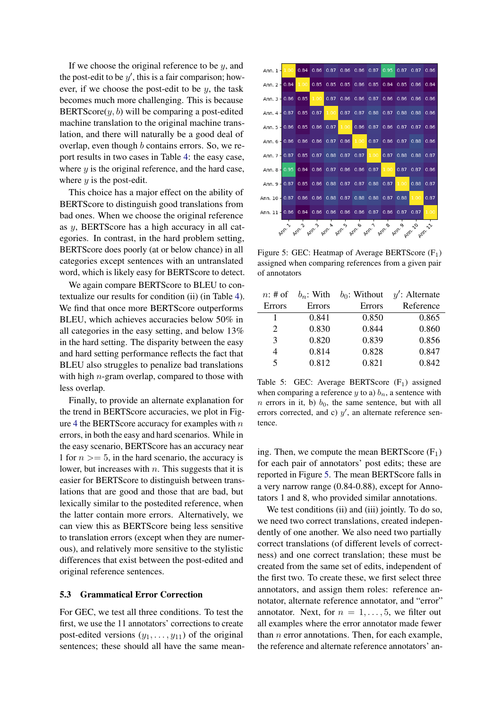If we choose the original reference to be  $y$ , and the post-edit to be  $y'$ , this is a fair comparison; however, if we choose the post-edit to be  $y$ , the task becomes much more challenging. This is because BERTScore $(y, b)$  will be comparing a post-edited machine translation to the original machine translation, and there will naturally be a good deal of overlap, even though b contains errors. So, we report results in two cases in Table [4:](#page-5-1) the easy case, where  $y$  is the original reference, and the hard case, where  $y$  is the post-edit.

This choice has a major effect on the ability of BERTScore to distinguish good translations from bad ones. When we choose the original reference as y, BERTScore has a high accuracy in all categories. In contrast, in the hard problem setting, BERTScore does poorly (at or below chance) in all categories except sentences with an untranslated word, which is likely easy for BERTScore to detect.

We again compare BERTScore to BLEU to contextualize our results for condition (ii) (in Table [4\)](#page-5-1). We find that once more BERTScore outperforms BLEU, which achieves accuracies below 50% in all categories in the easy setting, and below 13% in the hard setting. The disparity between the easy and hard setting performance reflects the fact that BLEU also struggles to penalize bad translations with high  $n$ -gram overlap, compared to those with less overlap.

Finally, to provide an alternate explanation for the trend in BERTScore accuracies, we plot in Fig-ure [4](#page-5-2) the BERTS core accuracy for examples with  $n$ errors, in both the easy and hard scenarios. While in the easy scenario, BERTScore has an accuracy near 1 for  $n \geq 5$ , in the hard scenario, the accuracy is lower, but increases with  $n$ . This suggests that it is easier for BERTScore to distinguish between translations that are good and those that are bad, but lexically similar to the postedited reference, when the latter contain more errors. Alternatively, we can view this as BERTScore being less sensitive to translation errors (except when they are numerous), and relatively more sensitive to the stylistic differences that exist between the post-edited and original reference sentences.

#### 5.3 Grammatical Error Correction

For GEC, we test all three conditions. To test the first, we use the 11 annotators' corrections to create post-edited versions  $(y_1, \ldots, y_{11})$  of the original sentences; these should all have the same mean-

<span id="page-6-0"></span>

Figure 5: GEC: Heatmap of Average BERTScore  $(F_1)$ assigned when comparing references from a given pair of annotators

<span id="page-6-1"></span>

| $n:$ # of                   | $b_n$ : With | $b_0$ : Without | $y'$ : Alternate |
|-----------------------------|--------------|-----------------|------------------|
| Errors                      | Errors       | Errors          | Reference        |
|                             | 0.841        | 0.850           | 0.865            |
| $\mathcal{D}_{\mathcal{L}}$ | 0.830        | 0.844           | 0.860            |
| $\mathcal{E}$               | 0.820        | 0.839           | 0.856            |
| 4                           | 0.814        | 0.828           | 0.847            |
| $\varsigma$                 | 0.812        | 0.821           | 0.842            |

Table 5: GEC: Average BERTScore  $(F_1)$  assigned when comparing a reference y to a)  $b_n$ , a sentence with n errors in it, b)  $b_0$ , the same sentence, but with all errors corrected, and c)  $y'$ , an alternate reference sentence.

ing. Then, we compute the mean BERTScore  $(F_1)$ for each pair of annotators' post edits; these are reported in Figure [5.](#page-6-0) The mean BERTScore falls in a very narrow range (0.84-0.88), except for Annotators 1 and 8, who provided similar annotations.

We test conditions (ii) and (iii) jointly. To do so, we need two correct translations, created independently of one another. We also need two partially correct translations (of different levels of correctness) and one correct translation; these must be created from the same set of edits, independent of the first two. To create these, we first select three annotators, and assign them roles: reference annotator, alternate reference annotator, and "error" annotator. Next, for  $n = 1, \ldots, 5$ , we filter out all examples where the error annotator made fewer than  $n$  error annotations. Then, for each example, the reference and alternate reference annotators' an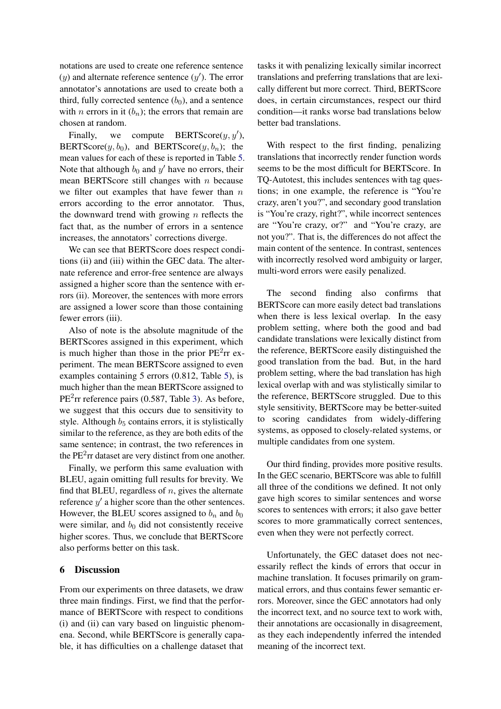notations are used to create one reference sentence  $(y)$  and alternate reference sentence  $(y')$ . The error annotator's annotations are used to create both a third, fully corrected sentence  $(b_0)$ , and a sentence with *n* errors in it  $(b_n)$ ; the errors that remain are chosen at random.

Finally, we compute BERTScore $(y, y')$ , BERTScore $(y, b_0)$ , and BERTScore $(y, b_n)$ ; the mean values for each of these is reported in Table [5.](#page-6-1) Note that although  $b_0$  and  $y'$  have no errors, their mean BERTScore still changes with  $n$  because we filter out examples that have fewer than  $n$ errors according to the error annotator. Thus, the downward trend with growing  $n$  reflects the fact that, as the number of errors in a sentence increases, the annotators' corrections diverge.

We can see that BERTScore does respect conditions (ii) and (iii) within the GEC data. The alternate reference and error-free sentence are always assigned a higher score than the sentence with errors (ii). Moreover, the sentences with more errors are assigned a lower score than those containing fewer errors (iii).

Also of note is the absolute magnitude of the BERTScores assigned in this experiment, which is much higher than those in the prior  $PE<sup>2</sup>rr$  experiment. The mean BERTScore assigned to even examples containing 5 errors (0.812, Table [5\)](#page-6-1), is much higher than the mean BERTScore assigned to PE<sup>2</sup>rr reference pairs (0.587, Table [3\)](#page-5-0). As before, we suggest that this occurs due to sensitivity to style. Although  $b<sub>5</sub>$  contains errors, it is stylistically similar to the reference, as they are both edits of the same sentence; in contrast, the two references in the  $PE<sup>2</sup>rr$  dataset are very distinct from one another.

Finally, we perform this same evaluation with BLEU, again omitting full results for brevity. We find that BLEU, regardless of  $n$ , gives the alternate reference  $y'$  a higher score than the other sentences. However, the BLEU scores assigned to  $b_n$  and  $b_0$ were similar, and  $b_0$  did not consistently receive higher scores. Thus, we conclude that BERTScore also performs better on this task.

## 6 Discussion

From our experiments on three datasets, we draw three main findings. First, we find that the performance of BERTScore with respect to conditions (i) and (ii) can vary based on linguistic phenomena. Second, while BERTScore is generally capable, it has difficulties on a challenge dataset that

tasks it with penalizing lexically similar incorrect translations and preferring translations that are lexically different but more correct. Third, BERTScore does, in certain circumstances, respect our third condition—it ranks worse bad translations below better bad translations.

With respect to the first finding, penalizing translations that incorrectly render function words seems to be the most difficult for BERTScore. In TQ-Autotest, this includes sentences with tag questions; in one example, the reference is "You're crazy, aren't you?", and secondary good translation is "You're crazy, right?", while incorrect sentences are "You're crazy, or?" and "You're crazy, are not you?". That is, the differences do not affect the main content of the sentence. In contrast, sentences with incorrectly resolved word ambiguity or larger, multi-word errors were easily penalized.

The second finding also confirms that BERTScore can more easily detect bad translations when there is less lexical overlap. In the easy problem setting, where both the good and bad candidate translations were lexically distinct from the reference, BERTScore easily distinguished the good translation from the bad. But, in the hard problem setting, where the bad translation has high lexical overlap with and was stylistically similar to the reference, BERTScore struggled. Due to this style sensitivity, BERTScore may be better-suited to scoring candidates from widely-differing systems, as opposed to closely-related systems, or multiple candidates from one system.

Our third finding, provides more positive results. In the GEC scenario, BERTScore was able to fulfill all three of the conditions we defined. It not only gave high scores to similar sentences and worse scores to sentences with errors; it also gave better scores to more grammatically correct sentences, even when they were not perfectly correct.

Unfortunately, the GEC dataset does not necessarily reflect the kinds of errors that occur in machine translation. It focuses primarily on grammatical errors, and thus contains fewer semantic errors. Moreover, since the GEC annotators had only the incorrect text, and no source text to work with, their annotations are occasionally in disagreement, as they each independently inferred the intended meaning of the incorrect text.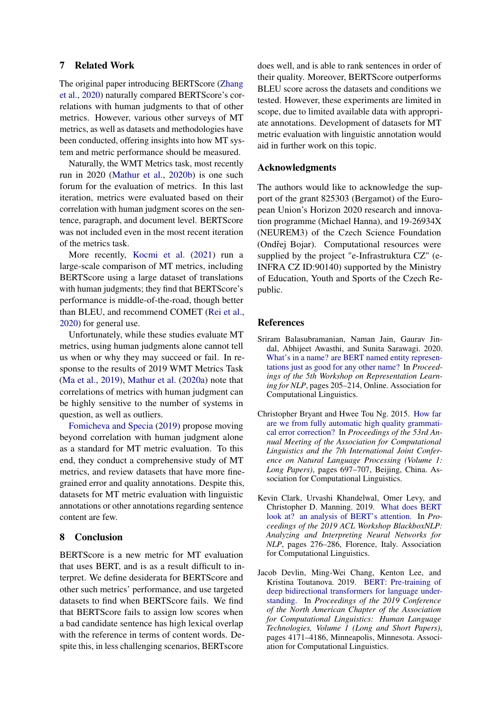# 7 Related Work

The original paper introducing BERTScore [\(Zhang](#page-10-0) [et al.,](#page-10-0) [2020\)](#page-10-0) naturally compared BERTScore's correlations with human judgments to that of other metrics. However, various other surveys of MT metrics, as well as datasets and methodologies have been conducted, offering insights into how MT system and metric performance should be measured.

Naturally, the WMT Metrics task, most recently run in 2020 [\(Mathur et al.,](#page-9-16) [2020b\)](#page-9-16) is one such forum for the evaluation of metrics. In this last iteration, metrics were evaluated based on their correlation with human judgment scores on the sentence, paragraph, and document level. BERTScore was not included even in the most recent iteration of the metrics task.

More recently, [Kocmi et al.](#page-9-17) [\(2021\)](#page-9-17) run a large-scale comparison of MT metrics, including BERTScore using a large dataset of translations with human judgments; they find that BERTScore's performance is middle-of-the-road, though better than BLEU, and recommend COMET [\(Rei et al.,](#page-9-2) [2020\)](#page-9-2) for general use.

Unfortunately, while these studies evaluate MT metrics, using human judgments alone cannot tell us when or why they may succeed or fail. In response to the results of 2019 WMT Metrics Task [\(Ma et al.,](#page-9-18) [2019\)](#page-9-18), [Mathur et al.](#page-9-19) [\(2020a\)](#page-9-19) note that correlations of metrics with human judgment can be highly sensitive to the number of systems in question, as well as outliers.

[Fomicheva and Specia](#page-9-6) [\(2019\)](#page-9-6) propose moving beyond correlation with human judgment alone as a standard for MT metric evaluation. To this end, they conduct a comprehensive study of MT metrics, and review datasets that have more finegrained error and quality annotations. Despite this, datasets for MT metric evaluation with linguistic annotations or other annotations regarding sentence content are few.

### 8 Conclusion

BERTScore is a new metric for MT evaluation that uses BERT, and is as a result difficult to interpret. We define desiderata for BERTScore and other such metrics' performance, and use targeted datasets to find when BERTScore fails. We find that BERTScore fails to assign low scores when a bad candidate sentence has high lexical overlap with the reference in terms of content words. Despite this, in less challenging scenarios, BERTscore

does well, and is able to rank sentences in order of their quality. Moreover, BERTScore outperforms BLEU score across the datasets and conditions we tested. However, these experiments are limited in scope, due to limited available data with appropriate annotations. Development of datasets for MT metric evaluation with linguistic annotation would aid in further work on this topic.

#### Acknowledgments

The authors would like to acknowledge the support of the grant 825303 (Bergamot) of the European Union's Horizon 2020 research and innovation programme (Michael Hanna), and 19-26934X (NEUREM3) of the Czech Science Foundation (Ondřej Bojar). Computational resources were supplied by the project "e-Infrastruktura CZ" (e-INFRA CZ ID:90140) supported by the Ministry of Education, Youth and Sports of the Czech Republic.

### References

- <span id="page-8-1"></span>Sriram Balasubramanian, Naman Jain, Gaurav Jindal, Abhijeet Awasthi, and Sunita Sarawagi. 2020. [What's in a name? are BERT named entity represen](https://doi.org/10.18653/v1/2020.repl4nlp-1.24)[tations just as good for any other name?](https://doi.org/10.18653/v1/2020.repl4nlp-1.24) In *Proceedings of the 5th Workshop on Representation Learning for NLP*, pages 205–214, Online. Association for Computational Linguistics.
- <span id="page-8-3"></span>Christopher Bryant and Hwee Tou Ng. 2015. [How far](https://doi.org/10.3115/v1/P15-1068) [are we from fully automatic high quality grammati](https://doi.org/10.3115/v1/P15-1068)[cal error correction?](https://doi.org/10.3115/v1/P15-1068) In *Proceedings of the 53rd Annual Meeting of the Association for Computational Linguistics and the 7th International Joint Conference on Natural Language Processing (Volume 1: Long Papers)*, pages 697–707, Beijing, China. Association for Computational Linguistics.
- <span id="page-8-2"></span>Kevin Clark, Urvashi Khandelwal, Omer Levy, and Christopher D. Manning. 2019. [What does BERT](https://doi.org/10.18653/v1/W19-4828) [look at? an analysis of BERT's attention.](https://doi.org/10.18653/v1/W19-4828) In *Proceedings of the 2019 ACL Workshop BlackboxNLP: Analyzing and Interpreting Neural Networks for NLP*, pages 276–286, Florence, Italy. Association for Computational Linguistics.
- <span id="page-8-0"></span>Jacob Devlin, Ming-Wei Chang, Kenton Lee, and Kristina Toutanova. 2019. [BERT: Pre-training of](https://doi.org/10.18653/v1/N19-1423) [deep bidirectional transformers for language under](https://doi.org/10.18653/v1/N19-1423)[standing.](https://doi.org/10.18653/v1/N19-1423) In *Proceedings of the 2019 Conference of the North American Chapter of the Association for Computational Linguistics: Human Language Technologies, Volume 1 (Long and Short Papers)*, pages 4171–4186, Minneapolis, Minnesota. Association for Computational Linguistics.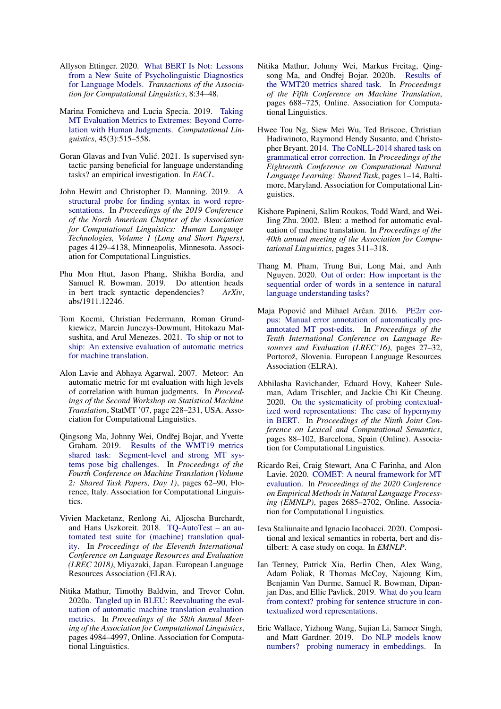- <span id="page-9-3"></span>Allyson Ettinger. 2020. [What BERT Is Not: Lessons](https://doi.org/10.1162/tacl_a_00298) [from a New Suite of Psycholinguistic Diagnostics](https://doi.org/10.1162/tacl_a_00298) [for Language Models.](https://doi.org/10.1162/tacl_a_00298) *Transactions of the Association for Computational Linguistics*, 8:34–48.
- <span id="page-9-6"></span>Marina Fomicheva and Lucia Specia. 2019. [Taking](https://doi.org/10.1162/coli_a_00356) [MT Evaluation Metrics to Extremes: Beyond Corre](https://doi.org/10.1162/coli_a_00356)[lation with Human Judgments.](https://doi.org/10.1162/coli_a_00356) *Computational Linguistics*, 45(3):515–558.
- <span id="page-9-10"></span>Goran Glavas and Ivan Vulić. 2021. Is supervised syntactic parsing beneficial for language understanding tasks? an empirical investigation. In *EACL*.
- <span id="page-9-7"></span>John Hewitt and Christopher D. Manning. 2019. [A](https://doi.org/10.18653/v1/N19-1419) [structural probe for finding syntax in word repre](https://doi.org/10.18653/v1/N19-1419)[sentations.](https://doi.org/10.18653/v1/N19-1419) In *Proceedings of the 2019 Conference of the North American Chapter of the Association for Computational Linguistics: Human Language Technologies, Volume 1 (Long and Short Papers)*, pages 4129–4138, Minneapolis, Minnesota. Association for Computational Linguistics.
- <span id="page-9-9"></span>Phu Mon Htut, Jason Phang, Shikha Bordia, and Samuel R. Bowman. 2019. Do attention heads in bert track syntactic dependencies? *ArXiv*, abs/1911.12246.
- <span id="page-9-17"></span>Tom Kocmi, Christian Federmann, Roman Grundkiewicz, Marcin Junczys-Dowmunt, Hitokazu Matsushita, and Arul Menezes. 2021. [To ship or not to](http://arxiv.org/abs/2107.10821) [ship: An extensive evaluation of automatic metrics](http://arxiv.org/abs/2107.10821) [for machine translation.](http://arxiv.org/abs/2107.10821)
- <span id="page-9-1"></span>Alon Lavie and Abhaya Agarwal. 2007. Meteor: An automatic metric for mt evaluation with high levels of correlation with human judgments. In *Proceedings of the Second Workshop on Statistical Machine Translation*, StatMT '07, page 228–231, USA. Association for Computational Linguistics.
- <span id="page-9-18"></span>Qingsong Ma, Johnny Wei, Ondřej Bojar, and Yvette Graham. 2019. [Results of the WMT19 metrics](https://doi.org/10.18653/v1/W19-5302) [shared task: Segment-level and strong MT sys](https://doi.org/10.18653/v1/W19-5302)[tems pose big challenges.](https://doi.org/10.18653/v1/W19-5302) In *Proceedings of the Fourth Conference on Machine Translation (Volume 2: Shared Task Papers, Day 1)*, pages 62–90, Florence, Italy. Association for Computational Linguistics.
- <span id="page-9-13"></span>Vivien Macketanz, Renlong Ai, Aljoscha Burchardt, and Hans Uszkoreit. 2018. [TQ-AutoTest – an au](https://aclanthology.org/L18-1142)[tomated test suite for \(machine\) translation qual](https://aclanthology.org/L18-1142)[ity.](https://aclanthology.org/L18-1142) In *Proceedings of the Eleventh International Conference on Language Resources and Evaluation (LREC 2018)*, Miyazaki, Japan. European Language Resources Association (ELRA).
- <span id="page-9-19"></span>Nitika Mathur, Timothy Baldwin, and Trevor Cohn. 2020a. [Tangled up in BLEU: Reevaluating the eval](https://doi.org/10.18653/v1/2020.acl-main.448)[uation of automatic machine translation evaluation](https://doi.org/10.18653/v1/2020.acl-main.448) [metrics.](https://doi.org/10.18653/v1/2020.acl-main.448) In *Proceedings of the 58th Annual Meeting of the Association for Computational Linguistics*, pages 4984–4997, Online. Association for Computational Linguistics.
- <span id="page-9-16"></span>Nitika Mathur, Johnny Wei, Markus Freitag, Qing-song Ma, and Ondřej Bojar. 2020b. [Results of](https://aclanthology.org/2020.wmt-1.77) [the WMT20 metrics shared task.](https://aclanthology.org/2020.wmt-1.77) In *Proceedings of the Fifth Conference on Machine Translation*, pages 688–725, Online. Association for Computational Linguistics.
- <span id="page-9-15"></span>Hwee Tou Ng, Siew Mei Wu, Ted Briscoe, Christian Hadiwinoto, Raymond Hendy Susanto, and Christopher Bryant. 2014. [The CoNLL-2014 shared task on](https://doi.org/10.3115/v1/W14-1701) [grammatical error correction.](https://doi.org/10.3115/v1/W14-1701) In *Proceedings of the Eighteenth Conference on Computational Natural Language Learning: Shared Task*, pages 1–14, Baltimore, Maryland. Association for Computational Linguistics.
- <span id="page-9-0"></span>Kishore Papineni, Salim Roukos, Todd Ward, and Wei-Jing Zhu. 2002. Bleu: a method for automatic evaluation of machine translation. In *Proceedings of the 40th annual meeting of the Association for Computational Linguistics*, pages 311–318.
- <span id="page-9-4"></span>Thang M. Pham, Trung Bui, Long Mai, and Anh Nguyen. 2020. [Out of order: How important is the](http://arxiv.org/abs/2012.15180) [sequential order of words in a sentence in natural](http://arxiv.org/abs/2012.15180) [language understanding tasks?](http://arxiv.org/abs/2012.15180)
- <span id="page-9-14"></span>Maja Popović and Mihael Arčan. 2016. [PE2rr cor](https://aclanthology.org/L16-1005)[pus: Manual error annotation of automatically pre](https://aclanthology.org/L16-1005)[annotated MT post-edits.](https://aclanthology.org/L16-1005) In *Proceedings of the Tenth International Conference on Language Resources and Evaluation (LREC'16)*, pages 27–32, Portorož, Slovenia. European Language Resources Association (ELRA).
- <span id="page-9-11"></span>Abhilasha Ravichander, Eduard Hovy, Kaheer Suleman, Adam Trischler, and Jackie Chi Kit Cheung. 2020. [On the systematicity of probing contextual](https://aclanthology.org/2020.starsem-1.10)[ized word representations: The case of hypernymy](https://aclanthology.org/2020.starsem-1.10) [in BERT.](https://aclanthology.org/2020.starsem-1.10) In *Proceedings of the Ninth Joint Conference on Lexical and Computational Semantics*, pages 88–102, Barcelona, Spain (Online). Association for Computational Linguistics.
- <span id="page-9-2"></span>Ricardo Rei, Craig Stewart, Ana C Farinha, and Alon Lavie. 2020. [COMET: A neural framework for MT](https://www.aclweb.org/anthology/2020.emnlp-main.213) [evaluation.](https://www.aclweb.org/anthology/2020.emnlp-main.213) In *Proceedings of the 2020 Conference on Empirical Methods in Natural Language Processing (EMNLP)*, pages 2685–2702, Online. Association for Computational Linguistics.
- <span id="page-9-12"></span>Ieva Staliunaite and Ignacio Iacobacci. 2020. Compositional and lexical semantics in roberta, bert and distilbert: A case study on coqa. In *EMNLP*.
- <span id="page-9-8"></span>Ian Tenney, Patrick Xia, Berlin Chen, Alex Wang, Adam Poliak, R Thomas McCoy, Najoung Kim, Benjamin Van Durme, Samuel R. Bowman, Dipanjan Das, and Ellie Pavlick. 2019. [What do you learn](http://arxiv.org/abs/1905.06316) [from context? probing for sentence structure in con](http://arxiv.org/abs/1905.06316)[textualized word representations.](http://arxiv.org/abs/1905.06316)
- <span id="page-9-5"></span>Eric Wallace, Yizhong Wang, Sujian Li, Sameer Singh, and Matt Gardner. 2019. [Do NLP models know](https://doi.org/10.18653/v1/D19-1534) [numbers? probing numeracy in embeddings.](https://doi.org/10.18653/v1/D19-1534) In